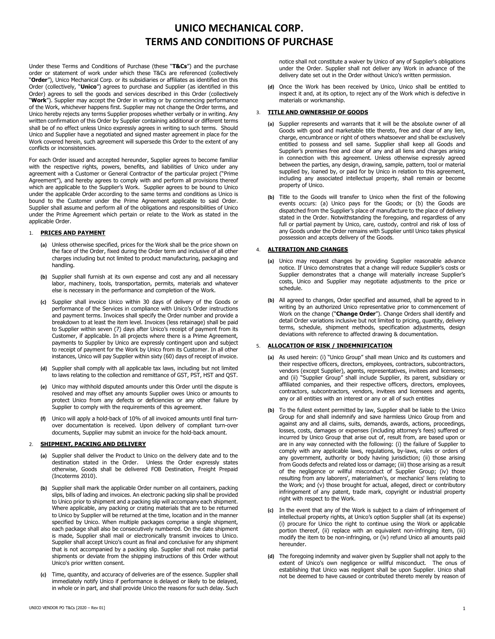# UNICO MECHANICAL CORP. TERMS AND CONDITIONS OF PURCHASE

Under these Terms and Conditions of Purchase (these "T&Cs") and the purchase order or statement of work under which these T&Cs are referenced (collectively "Order"), Unico Mechanical Corp. or its subsidiaries or affiliates as identified on this Order (collectively, "Unico") agrees to purchase and Supplier (as identified in this Order) agrees to sell the goods and services described in this Order (collectively "Work"). Supplier may accept the Order in writing or by commencing performance of the Work, whichever happens first. Supplier may not change the Order terms, and Unico hereby rejects any terms Supplier proposes whether verbally or in writing. Any written confirmation of this Order by Supplier containing additional or different terms shall be of no effect unless Unico expressly agrees in writing to such terms. Should Unico and Supplier have a negotiated and signed master agreement in place for the Work covered herein, such agreement will supersede this Order to the extent of any conflicts or inconsistencies.

For each Order issued and accepted hereunder, Supplier agrees to become familiar with the respective rights, powers, benefits, and liabilities of Unico under any agreement with a Customer or General Contractor of the particular project ("Prime Agreement"), and hereby agrees to comply with and perform all provisions thereof which are applicable to the Supplier's Work. Supplier agrees to be bound to Unico under the applicable Order according to the same terms and conditions as Unico is bound to the Customer under the Prime Agreement applicable to said Order. Supplier shall assume and perform all of the obligations and responsibilities of Unico under the Prime Agreement which pertain or relate to the Work as stated in the applicable Order.

### 1. PRICES AND PAYMENT

- (a) Unless otherwise specified, prices for the Work shall be the price shown on the face of the Order, fixed during the Order term and inclusive of all other charges including but not limited to product manufacturing, packaging and handling.
- (b) Supplier shall furnish at its own expense and cost any and all necessary labor, machinery, tools, transportation, permits, materials and whatever else is necessary in the performance and completion of the Work.
- (c) Supplier shall invoice Unico within 30 days of delivery of the Goods or performance of the Services in compliance with Unico's Order instructions and payment terms. Invoices shall specify the Order number and provide a breakdown to at least the item level. Invoices (less retainage) shall be paid to Supplier within seven (7) days after Unico's receipt of payment from its Customer, if applicable. In all projects where there is a Prime Agreement, payments to Supplier by Unico are expressly contingent upon and subject to receipt of payment for the Work by Unico from its Customer. In all other instances, Unico will pay Supplier within sixty (60) days of receipt of invoice.
- (d) Supplier shall comply with all applicable tax laws, including but not limited to laws relating to the collection and remittance of GST, PST, HST and QST.
- (e) Unico may withhold disputed amounts under this Order until the dispute is resolved and may offset any amounts Supplier owes Unico or amounts to protect Unico from any defects or deficiencies or any other failure by Supplier to comply with the requirements of this agreement.
- (f) Unico will apply a hold-back of 10% of all invoiced amounts until final turnover documentation is received. Upon delivery of compliant turn-over documents, Supplier may submit an invoice for the hold-back amount.

### 2. SHIPMENT, PACKING AND DELIVERY

- (a) Supplier shall deliver the Product to Unico on the delivery date and to the destination stated in the Order. Unless the Order expressly states otherwise, Goods shall be delivered FOB Destination, Freight Prepaid (Incoterms 2010).
- (b) Supplier shall mark the applicable Order number on all containers, packing slips, bills of lading and invoices. An electronic packing slip shall be provided to Unico prior to shipment and a packing slip will accompany each shipment. Where applicable, any packing or crating materials that are to be returned to Unico by Supplier will be returned at the time, location and in the manner specified by Unico. When multiple packages comprise a single shipment, each package shall also be consecutively numbered. On the date shipment is made, Supplier shall mail or electronically transmit invoices to Unico. Supplier shall accept Unico's count as final and conclusive for any shipment that is not accompanied by a packing slip. Supplier shall not make partial shipments or deviate from the shipping instructions of this Order without Unico's prior written consent.
- (c) Time, quantity, and accuracy of deliveries are of the essence. Supplier shall immediately notify Unico if performance is delayed or likely to be delayed, in whole or in part, and shall provide Unico the reasons for such delay. Such

notice shall not constitute a waiver by Unico of any of Supplier's obligations under the Order. Supplier shall not deliver any Work in advance of the delivery date set out in the Order without Unico's written permission.

(d) Once the Work has been received by Unico, Unico shall be entitled to inspect it and, at its option, to reject any of the Work which is defective in materials or workmanship.

# 3. TITLE AND OWNERSHIP OF GOODS

- (a) Supplier represents and warrants that it will be the absolute owner of all Goods with good and marketable title thereto, free and clear of any lien, charge, encumbrance or right of others whatsoever and shall be exclusively entitled to possess and sell same. Supplier shall keep all Goods and Supplier's premises free and clear of any and all liens and charges arising in connection with this agreement. Unless otherwise expressly agreed between the parties, any design, drawing, sample, pattern, tool or material supplied by, loaned by, or paid for by Unico in relation to this agreement, including any associated intellectual property, shall remain or become property of Unico.
- (b) Title to the Goods will transfer to Unico when the first of the following events occurs: (a) Unico pays for the Goods; or (b) the Goods are dispatched from the Supplier's place of manufacture to the place of delivery stated in the Order. Notwithstanding the foregoing, and regardless of any full or partial payment by Unico, care, custody, control and risk of loss of any Goods under the Order remains with Supplier until Unico takes physical possession and accepts delivery of the Goods.

# 4. **ALTERATION AND CHANGES**

- (a) Unico may request changes by providing Supplier reasonable advance notice. If Unico demonstrates that a change will reduce Supplier's costs or Supplier demonstrates that a change will materially increase Supplier's costs, Unico and Supplier may negotiate adjustments to the price or schedule.
- (b) All agreed to changes, Order specified and assumed, shall be agreed to in writing by an authorized Unico representative prior to commencement of Work on the change ("Change Order"). Change Orders shall identify and detail Order variations inclusive but not limited to pricing, quantity, delivery terms, schedule, shipment methods, specification adjustments, design deviations with reference to affected drawing & documentation.

## 5. ALLOCATION OF RISK / INDEMNIFICATION

- (a) As used herein: (i) "Unico Group" shall mean Unico and its customers and their respective officers, directors, employees, contractors, subcontractors, vendors (except Supplier), agents, representatives, invitees and licensees; and (ii) "Supplier Group" shall include Supplier, its parent, subsidiary or affiliated companies, and their respective officers, directors, employees, contractors, subcontractors, vendors, invitees and licensees and agents, any or all entities with an interest or any or all of such entities
- (b) To the fullest extent permitted by law, Supplier shall be liable to the Unico Group for and shall indemnify and save harmless Unico Group from and against any and all claims, suits, demands, awards, actions, proceedings, losses, costs, damages or expenses (including attorney's fees) suffered or incurred by Unico Group that arise out of, result from, are based upon or are in any way connected with the following: (i) the failure of Supplier to comply with any applicable laws, regulations, by-laws, rules or orders of any government, authority or body having jurisdiction; (ii) those arising from Goods defects and related loss or damage; (iii) those arising as a result of the negligence or willful misconduct of Supplier Group; (iv) those resulting from any laborers', materialmen's, or mechanics' liens relating to the Work; and (v) those brought for actual, alleged, direct or contributory infringement of any patent, trade mark, copyright or industrial property right with respect to the Work.
- (c) In the event that any of the Work is subject to a claim of infringement of intellectual property rights, at Unico's option Supplier shall (at its expense) (i) procure for Unico the right to continue using the Work or applicable portion thereof, (ii) replace with an equivalent non-infringing item, (iii) modify the item to be non-infringing, or (iv) refund Unico all amounts paid hereunder.
- (d) The foregoing indemnity and waiver given by Supplier shall not apply to the extent of Unico's own negligence or willful misconduct. The onus of establishing that Unico was negligent shall be upon Supplier. Unico shall not be deemed to have caused or contributed thereto merely by reason of